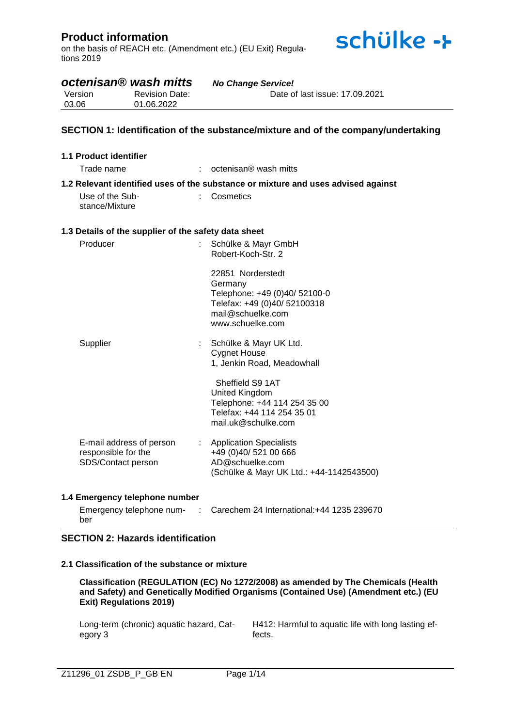on the basis of REACH etc. (Amendment etc.) (EU Exit) Regulations 2019

*octenisan® wash mitts No Change Service!*



| Version<br>03.06                  | <b>Revision Date:</b><br>01.06.2022                  | Date of last issue: 17.09.2021                                                                                                         |
|-----------------------------------|------------------------------------------------------|----------------------------------------------------------------------------------------------------------------------------------------|
|                                   |                                                      | SECTION 1: Identification of the substance/mixture and of the company/undertaking                                                      |
| 1.1 Product identifier            |                                                      |                                                                                                                                        |
| Trade name                        |                                                      | octenisan <sup>®</sup> wash mitts                                                                                                      |
|                                   |                                                      | 1.2 Relevant identified uses of the substance or mixture and uses advised against                                                      |
| Use of the Sub-<br>stance/Mixture |                                                      | Cosmetics                                                                                                                              |
|                                   | 1.3 Details of the supplier of the safety data sheet |                                                                                                                                        |
| Producer                          |                                                      | Schülke & Mayr GmbH<br>Robert-Koch-Str. 2                                                                                              |
|                                   |                                                      | 22851 Norderstedt<br>Germany<br>Telephone: +49 (0)40/ 52100-0<br>Telefax: +49 (0)40/ 52100318<br>mail@schuelke.com<br>www.schuelke.com |
| Supplier                          |                                                      | Schülke & Mayr UK Ltd.<br><b>Cygnet House</b><br>1, Jenkin Road, Meadowhall                                                            |
|                                   |                                                      | Sheffield S9 1AT<br>United Kingdom<br>Telephone: +44 114 254 35 00<br>Telefax: +44 114 254 35 01<br>mail.uk@schulke.com                |
| responsible for the               | E-mail address of person<br>SDS/Contact person       | <b>Application Specialists</b><br>÷.<br>+49 (0)40/ 521 00 666<br>AD@schuelke.com<br>(Schülke & Mayr UK Ltd.: +44-1142543500)           |

### **1.4 Emergency telephone number**

| Emergency telephone num- | : Carechem 24 International: +44 1235 239670 |  |
|--------------------------|----------------------------------------------|--|
| ber                      |                                              |  |

### **SECTION 2: Hazards identification**

### **2.1 Classification of the substance or mixture**

**Classification (REGULATION (EC) No 1272/2008) as amended by The Chemicals (Health and Safety) and Genetically Modified Organisms (Contained Use) (Amendment etc.) (EU Exit) Regulations 2019)**

Long-term (chronic) aquatic hazard, Category 3

H412: Harmful to aquatic life with long lasting effects.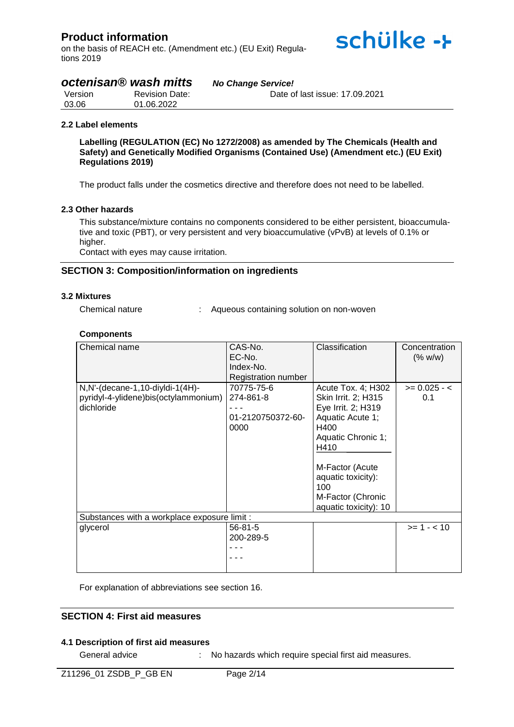on the basis of REACH etc. (Amendment etc.) (EU Exit) Regulations 2019

# *octenisan® wash mitts No Change Service!*

| Version | <b>Revision Date:</b> | Date of last issue: 17.09.2021 |
|---------|-----------------------|--------------------------------|
| 03.06   | 01.06.2022            |                                |

#### **2.2 Label elements**

**Labelling (REGULATION (EC) No 1272/2008) as amended by The Chemicals (Health and Safety) and Genetically Modified Organisms (Contained Use) (Amendment etc.) (EU Exit) Regulations 2019)**

schülke ->

The product falls under the cosmetics directive and therefore does not need to be labelled.

#### **2.3 Other hazards**

This substance/mixture contains no components considered to be either persistent, bioaccumulative and toxic (PBT), or very persistent and very bioaccumulative (vPvB) at levels of 0.1% or higher.

Contact with eyes may cause irritation.

#### **SECTION 3: Composition/information on ingredients**

#### **3.2 Mixtures**

| Chemical nature |  |
|-----------------|--|
|                 |  |

Aqueous containing solution on non-woven

#### **Components**

| Chemical name                                | CAS-No.                    | Classification        | Concentration  |
|----------------------------------------------|----------------------------|-----------------------|----------------|
|                                              | EC-No.                     |                       | (% w/w)        |
|                                              | Index-No.                  |                       |                |
|                                              | <b>Registration number</b> |                       |                |
| $N, N'$ -(decane-1,10-diyldi-1(4H)-          | 70775-75-6                 | Acute Tox. 4; H302    | $>= 0.025 - c$ |
| pyridyl-4-ylidene)bis(octylammonium)         | 274-861-8                  | Skin Irrit. 2; H315   | 0.1            |
| dichloride                                   |                            | Eye Irrit. 2; H319    |                |
|                                              | 01-2120750372-60-          | Aquatic Acute 1;      |                |
|                                              | 0000                       | H400                  |                |
|                                              |                            | Aquatic Chronic 1;    |                |
|                                              |                            | H410                  |                |
|                                              |                            |                       |                |
|                                              |                            | M-Factor (Acute       |                |
|                                              |                            | aquatic toxicity):    |                |
|                                              |                            | 100                   |                |
|                                              |                            | M-Factor (Chronic     |                |
|                                              |                            | aquatic toxicity): 10 |                |
| Substances with a workplace exposure limit : |                            |                       |                |
| glycerol                                     | $56 - 81 - 5$              |                       | $>= 1 - 10$    |
|                                              | 200-289-5                  |                       |                |
|                                              |                            |                       |                |
|                                              |                            |                       |                |
|                                              |                            |                       |                |

For explanation of abbreviations see section 16.

### **SECTION 4: First aid measures**

#### **4.1 Description of first aid measures**

General advice : No hazards which require special first aid measures.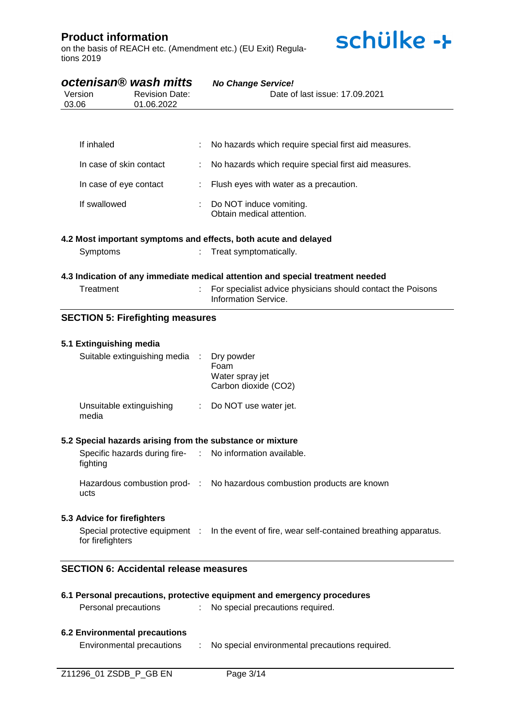on the basis of REACH etc. (Amendment etc.) (EU Exit) Regulations 2019



| octenisan® wash mitts<br><b>Revision Date:</b><br>Version<br>01.06.2022<br>03.06 |                                   |                                               | <b>No Change Service!</b><br>Date of last issue: 17.09.2021 |                                                                                               |
|----------------------------------------------------------------------------------|-----------------------------------|-----------------------------------------------|-------------------------------------------------------------|-----------------------------------------------------------------------------------------------|
|                                                                                  |                                   |                                               |                                                             |                                                                                               |
|                                                                                  | If inhaled                        |                                               |                                                             | No hazards which require special first aid measures.                                          |
|                                                                                  | In case of skin contact           |                                               |                                                             | No hazards which require special first aid measures.                                          |
|                                                                                  | In case of eye contact            |                                               | ÷                                                           | Flush eyes with water as a precaution.                                                        |
|                                                                                  | If swallowed                      |                                               |                                                             | Do NOT induce vomiting.<br>Obtain medical attention.                                          |
|                                                                                  |                                   |                                               |                                                             | 4.2 Most important symptoms and effects, both acute and delayed                               |
|                                                                                  | Symptoms                          |                                               |                                                             | Treat symptomatically.                                                                        |
|                                                                                  |                                   |                                               |                                                             | 4.3 Indication of any immediate medical attention and special treatment needed                |
|                                                                                  | Treatment                         |                                               |                                                             | For specialist advice physicians should contact the Poisons<br>Information Service.           |
|                                                                                  |                                   | <b>SECTION 5: Firefighting measures</b>       |                                                             |                                                                                               |
|                                                                                  | 5.1 Extinguishing media           |                                               |                                                             |                                                                                               |
|                                                                                  |                                   | Suitable extinguishing media                  |                                                             | Dry powder<br>Foam<br>Water spray jet<br>Carbon dioxide (CO2)                                 |
|                                                                                  | Unsuitable extinguishing<br>media |                                               | $\mathcal{L}^{\text{max}}$                                  | Do NOT use water jet.                                                                         |
|                                                                                  |                                   |                                               |                                                             | 5.2 Special hazards arising from the substance or mixture                                     |
|                                                                                  | fighting                          |                                               |                                                             | Specific hazards during fire- : No information available.                                     |
|                                                                                  | ucts                              |                                               |                                                             | Hazardous combustion prod- : No hazardous combustion products are known                       |
|                                                                                  | 5.3 Advice for firefighters       |                                               |                                                             |                                                                                               |
|                                                                                  | for firefighters                  |                                               |                                                             | Special protective equipment : In the event of fire, wear self-contained breathing apparatus. |
|                                                                                  |                                   | <b>SECTION 6: Accidental release measures</b> |                                                             |                                                                                               |
|                                                                                  |                                   |                                               |                                                             | 6.1 Personal precautions, protective equipment and emergency procedures                       |
|                                                                                  |                                   | Personal precautions                          | $\mathcal{L}^{\mathcal{L}}$ .                               | No special precautions required.                                                              |

#### **6.2 Environmental precautions**

Environmental precautions : No special environmental precautions required.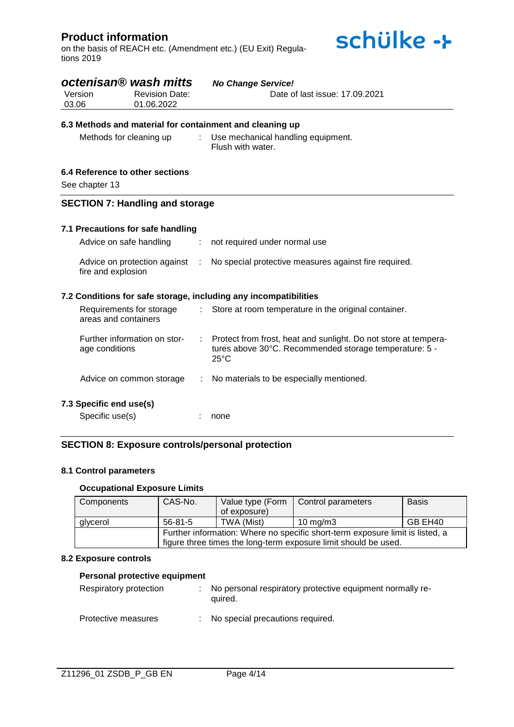on the basis of REACH etc. (Amendment etc.) (EU Exit) Regulations 2019



| Version<br>03.06 | octenisan <sup>®</sup> wash mitts<br><b>Revision Date:</b><br>01.06.2022 |                | <b>No Change Service!</b><br>Date of last issue: 17.09.2021                                                                                 |
|------------------|--------------------------------------------------------------------------|----------------|---------------------------------------------------------------------------------------------------------------------------------------------|
|                  | 6.3 Methods and material for containment and cleaning up                 |                |                                                                                                                                             |
|                  | Methods for cleaning up                                                  | t.             | Use mechanical handling equipment.<br>Flush with water.                                                                                     |
|                  | 6.4 Reference to other sections                                          |                |                                                                                                                                             |
| See chapter 13   |                                                                          |                |                                                                                                                                             |
|                  | <b>SECTION 7: Handling and storage</b>                                   |                |                                                                                                                                             |
|                  | 7.1 Precautions for safe handling                                        |                |                                                                                                                                             |
|                  | Advice on safe handling                                                  | ÷              | not required under normal use                                                                                                               |
|                  | Advice on protection against<br>fire and explosion                       | $\mathbb{R}^n$ | No special protective measures against fire required.                                                                                       |
|                  |                                                                          |                | 7.2 Conditions for safe storage, including any incompatibilities                                                                            |
|                  | Requirements for storage<br>areas and containers                         | ÷.             | Store at room temperature in the original container.                                                                                        |
|                  | Further information on stor-<br>age conditions                           |                | Protect from frost, heat and sunlight. Do not store at tempera-<br>tures above 30°C. Recommended storage temperature: 5 -<br>$25^{\circ}$ C |
|                  | Advice on common storage                                                 |                | No materials to be especially mentioned.                                                                                                    |
|                  | 7.3 Specific end use(s)                                                  |                |                                                                                                                                             |
|                  | Specific use(s)                                                          |                | none                                                                                                                                        |

### **SECTION 8: Exposure controls/personal protection**

#### **8.1 Control parameters**

### **Occupational Exposure Limits**

| Components | CAS-No.                                                                       |              | Value type (Form   Control parameters | <b>Basis</b> |  |
|------------|-------------------------------------------------------------------------------|--------------|---------------------------------------|--------------|--|
|            |                                                                               | of exposure) |                                       |              |  |
| glycerol   | $56 - 81 - 5$                                                                 | TWA (Mist)   | 10 mg/m $3$                           | GB EH40      |  |
|            | Further information: Where no specific short-term exposure limit is listed, a |              |                                       |              |  |
|            | figure three times the long-term exposure limit should be used.               |              |                                       |              |  |

#### **8.2 Exposure controls**

# **Personal protective equipment**

| Respiratory protection | : No personal respiratory protective equipment normally re-<br>quired. |
|------------------------|------------------------------------------------------------------------|
| Protective measures    | : No special precautions required.                                     |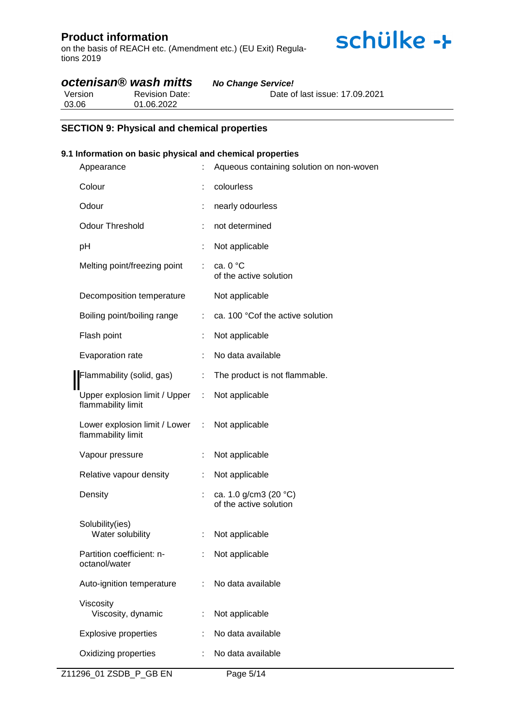on the basis of REACH etc. (Amendment etc.) (EU Exit) Regulations 2019

# *octenisan® wash mitts No Change Service!*

Version 03.06 Revision Date: 01.06.2022 Date of last issue: 17.09.2021

### **SECTION 9: Physical and chemical properties**

### **9.1 Information on basic physical and chemical properties**

| Appearance                                            |    | Aqueous containing solution on non-woven                  |
|-------------------------------------------------------|----|-----------------------------------------------------------|
| Colour                                                |    | colourless                                                |
| Odour                                                 | t  | nearly odourless                                          |
| <b>Odour Threshold</b>                                |    | not determined                                            |
| pH                                                    |    | Not applicable                                            |
| Melting point/freezing point                          | t. | ca. $0 °C$<br>of the active solution                      |
| Decomposition temperature                             |    | Not applicable                                            |
| Boiling point/boiling range                           | ÷. | ca. 100 °Cof the active solution                          |
| Flash point                                           |    | Not applicable                                            |
| Evaporation rate                                      |    | No data available                                         |
| Flammability (solid, gas)                             |    | The product is not flammable.                             |
| Upper explosion limit / Upper :<br>flammability limit |    | Not applicable                                            |
| Lower explosion limit / Lower :<br>flammability limit |    | Not applicable                                            |
| Vapour pressure                                       |    | Not applicable                                            |
| Relative vapour density                               | ÷. | Not applicable                                            |
| Density                                               |    | ca. 1.0 g/cm3 (20 $^{\circ}$ C)<br>of the active solution |
| Solubility(ies)<br>Water solubility                   | ÷  | Not applicable                                            |
| Partition coefficient: n-<br>octanol/water            |    | Not applicable                                            |
| Auto-ignition temperature                             |    | No data available                                         |
| Viscosity<br>Viscosity, dynamic                       |    | Not applicable                                            |
| <b>Explosive properties</b>                           |    | No data available                                         |
| Oxidizing properties                                  |    | No data available                                         |
|                                                       |    |                                                           |

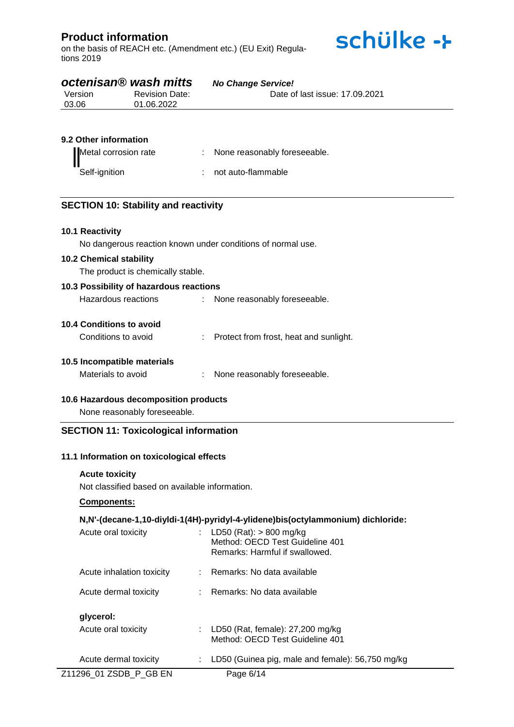on the basis of REACH etc. (Amendment etc.) (EU Exit) Regulations 2019



# *octenisan® wash mitts No Change Service!*

| Version | <b>Revision Date:</b> | Date of last issue: 17,09,2021 |
|---------|-----------------------|--------------------------------|
| 03.06   | 01.06.2022            |                                |

### **9.2 Other information**

| Metal corrosion rate | : None reasonably foreseeable. |
|----------------------|--------------------------------|
| Self-ignition        | : not auto-flammable           |

### **SECTION 10: Stability and reactivity**

### **10.1 Reactivity**

No dangerous reaction known under conditions of normal use.

#### **10.2 Chemical stability**

The product is chemically stable.

#### **10.3 Possibility of hazardous reactions**

| Hazardous reactions | None reasonably foreseeable. |  |
|---------------------|------------------------------|--|
|                     |                              |  |

#### **10.4 Conditions to avoid**

Conditions to avoid : Protect from frost, heat and sunlight.

#### **10.5 Incompatible materials**

Materials to avoid : None reasonably foreseeable.

#### **10.6 Hazardous decomposition products**

None reasonably foreseeable.

## **SECTION 11: Toxicological information**

#### **11.1 Information on toxicological effects**

#### **Acute toxicity**

Not classified based on available information.

#### **Components:**

#### **N,N'-(decane-1,10-diyldi-1(4H)-pyridyl-4-ylidene)bis(octylammonium) dichloride:**

| Acute oral toxicity       | : LD50 (Rat): $> 800$ mg/kg<br>Method: OECD Test Guideline 401<br>Remarks: Harmful if swallowed. |
|---------------------------|--------------------------------------------------------------------------------------------------|
| Acute inhalation toxicity | ∴ Remarks: No data available                                                                     |
| Acute dermal toxicity     | $\therefore$ Remarks: No data available                                                          |
| glycerol:                 |                                                                                                  |
| Acute oral toxicity       | LD50 (Rat, female): 27,200 mg/kg<br>Method: OECD Test Guideline 401                              |
| Acute dermal toxicity     | LD50 (Guinea pig, male and female): 56,750 mg/kg                                                 |
| Z11296 01 ZSDB P GB EN    | Page 6/14                                                                                        |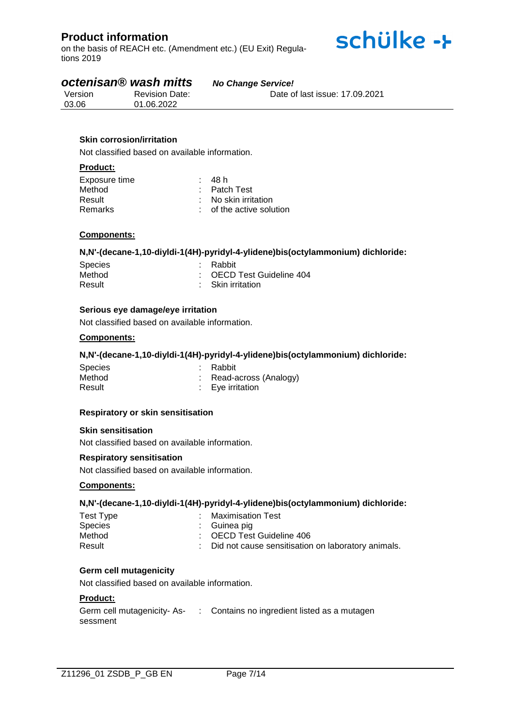on the basis of REACH etc. (Amendment etc.) (EU Exit) Regulations 2019

# *octenisan® wash mitts No Change Service!*

|  | <b>No Change Service!</b> |  |
|--|---------------------------|--|
|  |                           |  |

schülke ->

| Version | <b>Revision Date:</b> | Date of last issue: 17,09,2021 |
|---------|-----------------------|--------------------------------|
| 03.06   | 01.06.2022            |                                |

### **Skin corrosion/irritation**

Not classified based on available information.

#### **Product:**

| Exposure time | : 48 h                   |
|---------------|--------------------------|
| Method        | $:$ Patch Test           |
| Result        | : No skin irritation     |
| Remarks       | : of the active solution |

#### **Components:**

#### **N,N'-(decane-1,10-diyldi-1(4H)-pyridyl-4-ylidene)bis(octylammonium) dichloride:**

| <b>Species</b> | : Rabbit                  |
|----------------|---------------------------|
| Method         | : OECD Test Guideline 404 |
| Result         | : Skin irritation         |

#### **Serious eye damage/eye irritation**

Not classified based on available information.

### **Components:**

#### **N,N'-(decane-1,10-diyldi-1(4H)-pyridyl-4-ylidene)bis(octylammonium) dichloride:**

| <b>Species</b> | : Rabbit                    |
|----------------|-----------------------------|
| Method         | : Read-across (Analogy)     |
| Result         | $\therefore$ Eye irritation |

#### **Respiratory or skin sensitisation**

#### **Skin sensitisation**

Not classified based on available information.

#### **Respiratory sensitisation**

Not classified based on available information.

#### **Components:**

#### **N,N'-(decane-1,10-diyldi-1(4H)-pyridyl-4-ylidene)bis(octylammonium) dichloride:**

| Test Type | Maximisation Test                                    |
|-----------|------------------------------------------------------|
| Species   | : Guinea pig                                         |
| Method    | : OECD Test Guideline 406                            |
| Result    | : Did not cause sensitisation on laboratory animals. |

#### **Germ cell mutagenicity**

Not classified based on available information.

#### **Product:**

| Germ cell mutagenicity-As- | : Contains no ingredient listed as a mutagen |
|----------------------------|----------------------------------------------|
| sessment                   |                                              |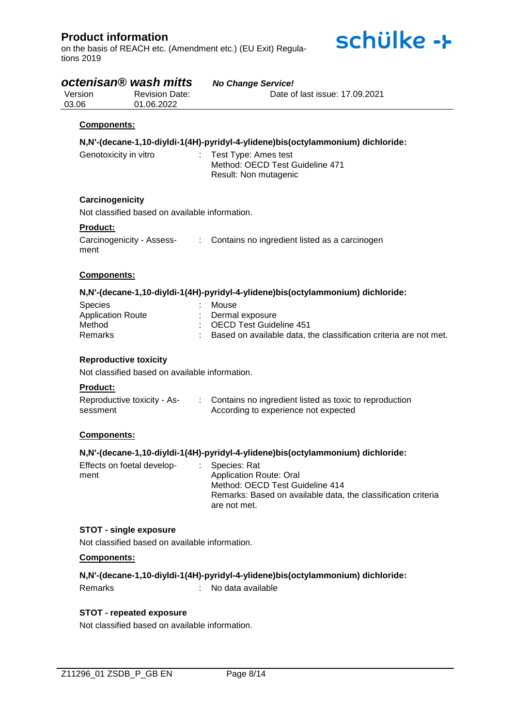on the basis of REACH etc. (Amendment etc.) (EU Exit) Regulations 2019



| Version<br>03.06                                         | octenisan <sup>®</sup> wash mitts<br><b>Revision Date:</b><br>01.06.2022 | <b>No Change Service!</b><br>Date of last issue: 17.09.2021                                                                                                        |
|----------------------------------------------------------|--------------------------------------------------------------------------|--------------------------------------------------------------------------------------------------------------------------------------------------------------------|
| Components:                                              |                                                                          |                                                                                                                                                                    |
|                                                          |                                                                          | N,N'-(decane-1,10-diyldi-1(4H)-pyridyl-4-ylidene)bis(octylammonium) dichloride:                                                                                    |
| Genotoxicity in vitro                                    | ÷.                                                                       | Test Type: Ames test<br>Method: OECD Test Guideline 471<br>Result: Non mutagenic                                                                                   |
| Carcinogenicity                                          | Not classified based on available information.                           |                                                                                                                                                                    |
| Product:                                                 |                                                                          |                                                                                                                                                                    |
| ment                                                     | Carcinogenicity - Assess-                                                | : Contains no ingredient listed as a carcinogen                                                                                                                    |
| Components:                                              |                                                                          |                                                                                                                                                                    |
|                                                          |                                                                          | N,N'-(decane-1,10-diyldi-1(4H)-pyridyl-4-ylidene)bis(octylammonium) dichloride:                                                                                    |
| Species<br><b>Application Route</b><br>Method<br>Remarks |                                                                          | Mouse<br>Dermal exposure<br><b>OECD Test Guideline 451</b><br>Based on available data, the classification criteria are not met.                                    |
| <b>Reproductive toxicity</b>                             |                                                                          |                                                                                                                                                                    |
|                                                          | Not classified based on available information.                           |                                                                                                                                                                    |
| <b>Product:</b>                                          |                                                                          |                                                                                                                                                                    |
| sessment                                                 | Reproductive toxicity - As-                                              | Contains no ingredient listed as toxic to reproduction<br>$\mathcal{I}^{\mathcal{I}}$ .<br>According to experience not expected                                    |
| Components:                                              |                                                                          |                                                                                                                                                                    |
|                                                          |                                                                          | N,N'-(decane-1,10-diyldi-1(4H)-pyridyl-4-ylidene)bis(octylammonium) dichloride:                                                                                    |
| Effects on foetal develop-<br>ment                       |                                                                          | Species: Rat<br><b>Application Route: Oral</b><br>Method: OECD Test Guideline 414<br>Remarks: Based on available data, the classification criteria<br>are not met. |
| <b>STOT - single exposure</b>                            |                                                                          |                                                                                                                                                                    |
|                                                          | Not classified based on available information.                           |                                                                                                                                                                    |
| Components:                                              |                                                                          |                                                                                                                                                                    |
| Remarks                                                  |                                                                          | N,N'-(decane-1,10-diyldi-1(4H)-pyridyl-4-ylidene)bis(octylammonium) dichloride:<br>No data available                                                               |
|                                                          |                                                                          |                                                                                                                                                                    |

### **STOT - repeated exposure**

Not classified based on available information.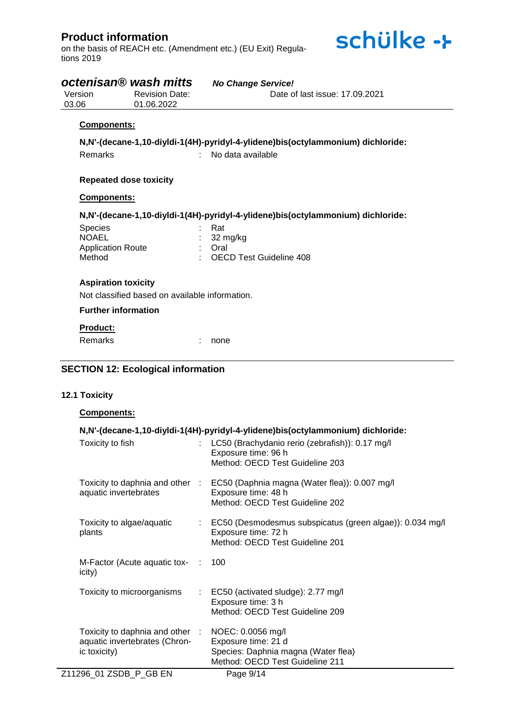on the basis of REACH etc. (Amendment etc.) (EU Exit) Regulations 2019



# *octenisan® wash mitts No Change Service!*

| Version | <b>Revision Date:</b> | Date of last issue: 17.09.2021 |
|---------|-----------------------|--------------------------------|
| 03.06   | 01.06.2022            |                                |

#### **Components:**

**N,N'-(decane-1,10-diyldi-1(4H)-pyridyl-4-ylidene)bis(octylammonium) dichloride:** Remarks : No data available

#### **Repeated dose toxicity**

#### **Components:**

**N,N'-(decane-1,10-diyldi-1(4H)-pyridyl-4-ylidene)bis(octylammonium) dichloride:**

| Species                  | : Rat                     |
|--------------------------|---------------------------|
| <b>NOAEL</b>             | $\therefore$ 32 mg/kg     |
| <b>Application Route</b> | : Oral                    |
| Method                   | : OECD Test Guideline 408 |
|                          |                           |

### **Aspiration toxicity**

Not classified based on available information.

#### **Further information**

#### **Product:**

Remarks : none

### **SECTION 12: Ecological information**

#### **12.1 Toxicity**

#### **Components:**

|                                                                                  | N,N'-(decane-1,10-diyldi-1(4H)-pyridyl-4-ylidene)bis(octylammonium) dichloride:                                                         |
|----------------------------------------------------------------------------------|-----------------------------------------------------------------------------------------------------------------------------------------|
| Toxicity to fish                                                                 | LC50 (Brachydanio rerio (zebrafish)): 0.17 mg/l<br>Exposure time: 96 h<br>Method: OECD Test Guideline 203                               |
| aquatic invertebrates                                                            | Toxicity to daphnia and other : EC50 (Daphnia magna (Water flea)): 0.007 mg/l<br>Exposure time: 48 h<br>Method: OECD Test Guideline 202 |
| Toxicity to algae/aquatic<br>plants                                              | : EC50 (Desmodesmus subspicatus (green algae)): 0.034 mg/l<br>Exposure time: 72 h<br>Method: OECD Test Guideline 201                    |
| M-Factor (Acute aquatic tox- :<br>icity)                                         | 100                                                                                                                                     |
| Toxicity to microorganisms                                                       | : EC50 (activated sludge): 2.77 mg/l<br>Exposure time: 3 h<br>Method: OECD Test Guideline 209                                           |
| Toxicity to daphnia and other :<br>aquatic invertebrates (Chron-<br>ic toxicity) | NOEC: 0.0056 mg/l<br>Exposure time: 21 d<br>Species: Daphnia magna (Water flea)<br>Method: OECD Test Guideline 211                      |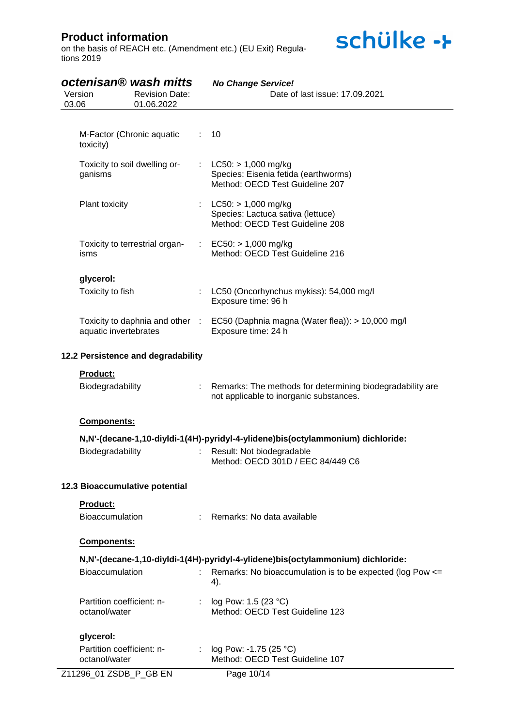on the basis of REACH etc. (Amendment etc.) (EU Exit) Regulations 2019

| octenisan® wash mitts<br>Version<br>03.06                | <b>Revision Date:</b><br>01.06.2022 | <b>No Change Service!</b><br>Date of last issue: 17,09,2021                                          |
|----------------------------------------------------------|-------------------------------------|------------------------------------------------------------------------------------------------------|
| M-Factor (Chronic aquatic                                |                                     | 10                                                                                                   |
| toxicity)<br>Toxicity to soil dwelling or-               | ÷.                                  | $LC50: > 1,000$ mg/kg                                                                                |
| ganisms                                                  |                                     | Species: Eisenia fetida (earthworms)<br>Method: OECD Test Guideline 207                              |
| Plant toxicity                                           |                                     | $LC50: > 1,000$ mg/kg<br>Species: Lactuca sativa (lettuce)<br>Method: OECD Test Guideline 208        |
| Toxicity to terrestrial organ-<br>isms                   |                                     | $EC50: > 1,000$ mg/kg<br>Method: OECD Test Guideline 216                                             |
| glycerol:                                                |                                     |                                                                                                      |
| Toxicity to fish                                         |                                     | LC50 (Oncorhynchus mykiss): 54,000 mg/l<br>Exposure time: 96 h                                       |
| Toxicity to daphnia and other :<br>aquatic invertebrates |                                     | EC50 (Daphnia magna (Water flea)): > 10,000 mg/l<br>Exposure time: 24 h                              |
| 12.2 Persistence and degradability                       |                                     |                                                                                                      |
| Product:                                                 |                                     |                                                                                                      |
| Biodegradability                                         | $\mathbb{C}^{\times}$               | Remarks: The methods for determining biodegradability are<br>not applicable to inorganic substances. |
| Components:                                              |                                     |                                                                                                      |
|                                                          |                                     | N,N'-(decane-1,10-diyldi-1(4H)-pyridyl-4-ylidene)bis(octylammonium) dichloride:                      |
| Biodegradability                                         |                                     | Result: Not biodegradable<br>Method: OECD 301D / EEC 84/449 C6                                       |
| 12.3 Bioaccumulative potential                           |                                     |                                                                                                      |
| Product:                                                 |                                     |                                                                                                      |
| Bioaccumulation                                          |                                     | Remarks: No data available                                                                           |
| <b>Components:</b>                                       |                                     |                                                                                                      |
|                                                          |                                     | N,N'-(decane-1,10-diyldi-1(4H)-pyridyl-4-ylidene)bis(octylammonium) dichloride:                      |
| Bioaccumulation                                          |                                     | Remarks: No bioaccumulation is to be expected (log Pow <=<br>4).                                     |
| Partition coefficient: n-<br>octanol/water               |                                     | log Pow: 1.5 (23 °C)<br>Method: OECD Test Guideline 123                                              |
| glycerol:                                                |                                     |                                                                                                      |
| Partition coefficient: n-<br>octanol/water               |                                     | log Pow: -1.75 (25 °C)<br>Method: OECD Test Guideline 107                                            |
| Z11296_01 ZSDB_P_GB EN                                   |                                     | Page 10/14                                                                                           |

schülke ->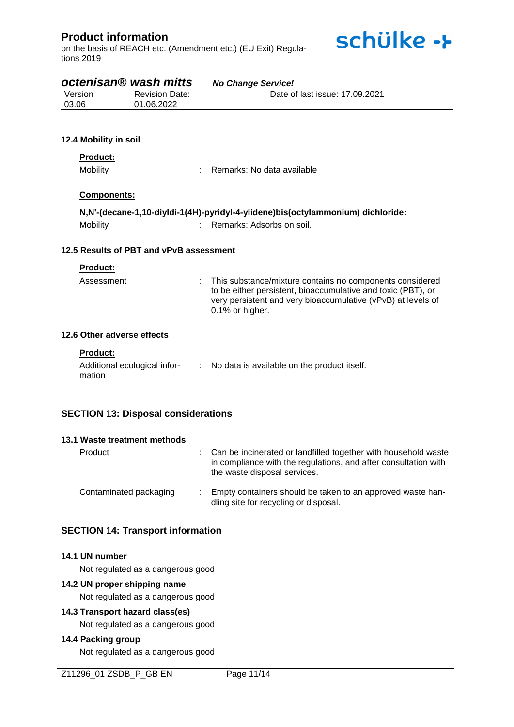on the basis of REACH etc. (Amendment etc.) (EU Exit) Regulations 2019



# *octenisan® wash mitts No Change Service!*

| Version | <b>Revision Date:</b> | Date of last issue: 17,09,2021 |
|---------|-----------------------|--------------------------------|
| 03.06   | 01.06.2022            |                                |

### **12.4 Mobility in soil**

### **Product:**

Mobility : Remarks: No data available

### **Components:**

|          | N,N'-(decane-1,10-diyldi-1(4H)-pyridyl-4-ylidene)bis(octylammonium) dichloride: |
|----------|---------------------------------------------------------------------------------|
| Mobility | Remarks: Adsorbs on soil.                                                       |

#### **12.5 Results of PBT and vPvB assessment**

#### **Product:**

| Assessment | : This substance/mixture contains no components considered<br>to be either persistent, bioaccumulative and toxic (PBT), or<br>very persistent and very bioaccumulative (vPvB) at levels of<br>$0.1\%$ or higher. |
|------------|------------------------------------------------------------------------------------------------------------------------------------------------------------------------------------------------------------------|
|            |                                                                                                                                                                                                                  |

# **12.6 Other adverse effects**

#### **Product:**

| Additional ecological infor- | No data is available on the product itself. |
|------------------------------|---------------------------------------------|
| mation                       |                                             |

# **SECTION 13: Disposal considerations**

| 13.1 Waste treatment methods |                                                                                                                                                                   |
|------------------------------|-------------------------------------------------------------------------------------------------------------------------------------------------------------------|
| Product                      | Can be incinerated or landfilled together with household waste<br>in compliance with the regulations, and after consultation with<br>the waste disposal services. |
| Contaminated packaging       | Empty containers should be taken to an approved waste han-<br>dling site for recycling or disposal.                                                               |

### **SECTION 14: Transport information**

#### **14.1 UN number**

Not regulated as a dangerous good

#### **14.2 UN proper shipping name**

Not regulated as a dangerous good

### **14.3 Transport hazard class(es)**

Not regulated as a dangerous good

### **14.4 Packing group**

Not regulated as a dangerous good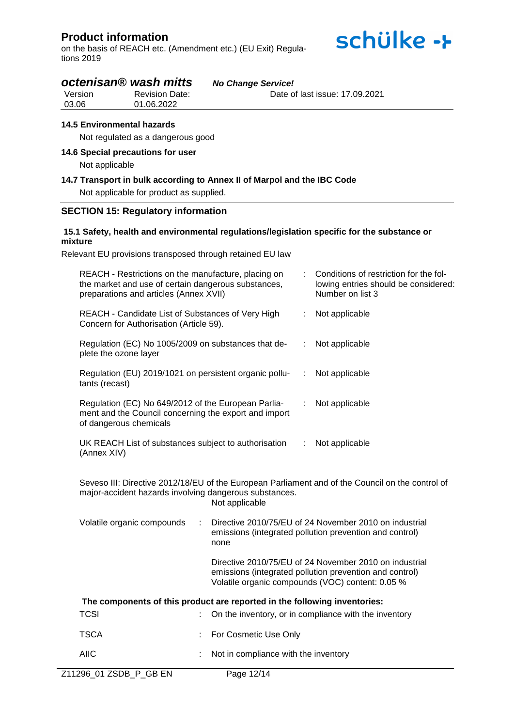on the basis of REACH etc. (Amendment etc.) (EU Exit) Regulations 2019



# *octenisan® wash mitts No Change Service!*

| Version | <b>Revision Date:</b> | Date of last issue: 17.09.2021 |
|---------|-----------------------|--------------------------------|
| 03.06   | 01.06.2022            |                                |

#### **14.5 Environmental hazards**

Not regulated as a dangerous good

#### **14.6 Special precautions for user**

Not applicable

## **14.7 Transport in bulk according to Annex II of Marpol and the IBC Code**

Not applicable for product as supplied.

#### **SECTION 15: Regulatory information**

#### **15.1 Safety, health and environmental regulations/legislation specific for the substance or mixture**

Relevant EU provisions transposed through retained EU law

| REACH - Restrictions on the manufacture, placing on<br>the market and use of certain dangerous substances,<br>preparations and articles (Annex XVII) |                |                                      |   | Conditions of restriction for the fol-<br>lowing entries should be considered:<br>Number on list 3                                                                    |
|------------------------------------------------------------------------------------------------------------------------------------------------------|----------------|--------------------------------------|---|-----------------------------------------------------------------------------------------------------------------------------------------------------------------------|
| REACH - Candidate List of Substances of Very High<br>Concern for Authorisation (Article 59).                                                         |                |                                      |   | Not applicable                                                                                                                                                        |
| Regulation (EC) No 1005/2009 on substances that de-<br>plete the ozone layer                                                                         |                |                                      | ÷ | Not applicable                                                                                                                                                        |
| Regulation (EU) 2019/1021 on persistent organic pollu-<br>tants (recast)                                                                             |                |                                      | ÷ | Not applicable                                                                                                                                                        |
| Regulation (EC) No 649/2012 of the European Parlia-<br>ment and the Council concerning the export and import<br>of dangerous chemicals               |                |                                      | ÷ | Not applicable                                                                                                                                                        |
| UK REACH List of substances subject to authorisation<br>(Annex XIV)                                                                                  | Not applicable |                                      |   |                                                                                                                                                                       |
| major-accident hazards involving dangerous substances.                                                                                               |                | Not applicable                       |   | Seveso III: Directive 2012/18/EU of the European Parliament and of the Council on the control of                                                                      |
| Volatile organic compounds                                                                                                                           |                | none                                 |   | Directive 2010/75/EU of 24 November 2010 on industrial<br>emissions (integrated pollution prevention and control)                                                     |
|                                                                                                                                                      |                |                                      |   | Directive 2010/75/EU of 24 November 2010 on industrial<br>emissions (integrated pollution prevention and control)<br>Volatile organic compounds (VOC) content: 0.05 % |
| The components of this product are reported in the following inventories:                                                                            |                |                                      |   |                                                                                                                                                                       |
| <b>TCSI</b>                                                                                                                                          |                |                                      |   | On the inventory, or in compliance with the inventory                                                                                                                 |
| <b>TSCA</b>                                                                                                                                          |                | For Cosmetic Use Only                |   |                                                                                                                                                                       |
| <b>AIIC</b>                                                                                                                                          | t              | Not in compliance with the inventory |   |                                                                                                                                                                       |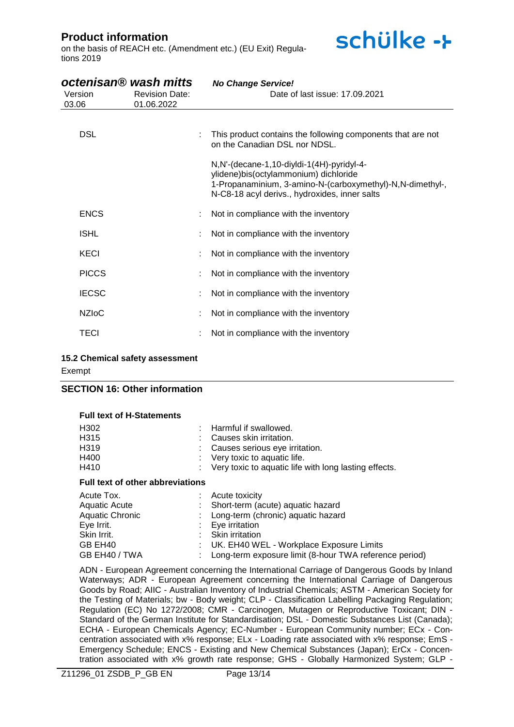on the basis of REACH etc. (Amendment etc.) (EU Exit) Regulations 2019

| Version<br>03.06 | octenisan® wash mitts<br><b>Revision Date:</b><br>01.06.2022 | <b>No Change Service!</b><br>Date of last issue: 17,09,2021                                                                                                                                        |
|------------------|--------------------------------------------------------------|----------------------------------------------------------------------------------------------------------------------------------------------------------------------------------------------------|
|                  |                                                              |                                                                                                                                                                                                    |
| <b>DSL</b>       |                                                              | This product contains the following components that are not<br>on the Canadian DSL nor NDSL.                                                                                                       |
|                  |                                                              | N, N'-(decane-1, 10-diyldi-1(4H)-pyridyl-4-<br>ylidene)bis(octylammonium) dichloride<br>1-Propanaminium, 3-amino-N-(carboxymethyl)-N,N-dimethyl-,<br>N-C8-18 acyl derivs., hydroxides, inner salts |
| <b>ENCS</b>      |                                                              | Not in compliance with the inventory                                                                                                                                                               |
| <b>ISHL</b>      |                                                              | Not in compliance with the inventory                                                                                                                                                               |
| KECI             |                                                              | Not in compliance with the inventory                                                                                                                                                               |
| <b>PICCS</b>     |                                                              | Not in compliance with the inventory                                                                                                                                                               |
| <b>IECSC</b>     |                                                              | Not in compliance with the inventory                                                                                                                                                               |
| <b>NZIOC</b>     |                                                              | Not in compliance with the inventory                                                                                                                                                               |
| <b>TECI</b>      |                                                              | Not in compliance with the inventory                                                                                                                                                               |

schülke ->

#### **15.2 Chemical safety assessment**

Exempt

#### **SECTION 16: Other information**

#### **Full text of H-Statements**

| H302 | : Harmful if swallowed.                                 |
|------|---------------------------------------------------------|
| H315 | : Causes skin irritation.                               |
| H319 | : Causes serious eye irritation.                        |
| H400 | $\therefore$ Very toxic to aquatic life.                |
| H410 | : Very toxic to aquatic life with long lasting effects. |
|      |                                                         |

#### **Full text of other abbreviations**

| Acute Tox.      | $:$ Acute toxicity                                       |
|-----------------|----------------------------------------------------------|
| Aquatic Acute   | : Short-term (acute) aquatic hazard                      |
| Aquatic Chronic | : Long-term (chronic) aquatic hazard                     |
| Eye Irrit.      | $: Eye$ irritation                                       |
| Skin Irrit.     | : Skin irritation                                        |
| GB EH40         | : UK. EH40 WEL - Workplace Exposure Limits               |
| GB EH40 / TWA   | : Long-term exposure limit (8-hour TWA reference period) |

ADN - European Agreement concerning the International Carriage of Dangerous Goods by Inland Waterways; ADR - European Agreement concerning the International Carriage of Dangerous Goods by Road; AIIC - Australian Inventory of Industrial Chemicals; ASTM - American Society for the Testing of Materials; bw - Body weight; CLP - Classification Labelling Packaging Regulation; Regulation (EC) No 1272/2008; CMR - Carcinogen, Mutagen or Reproductive Toxicant; DIN - Standard of the German Institute for Standardisation; DSL - Domestic Substances List (Canada); ECHA - European Chemicals Agency; EC-Number - European Community number; ECx - Concentration associated with x% response; ELx - Loading rate associated with x% response; EmS - Emergency Schedule; ENCS - Existing and New Chemical Substances (Japan); ErCx - Concentration associated with x% growth rate response; GHS - Globally Harmonized System; GLP -